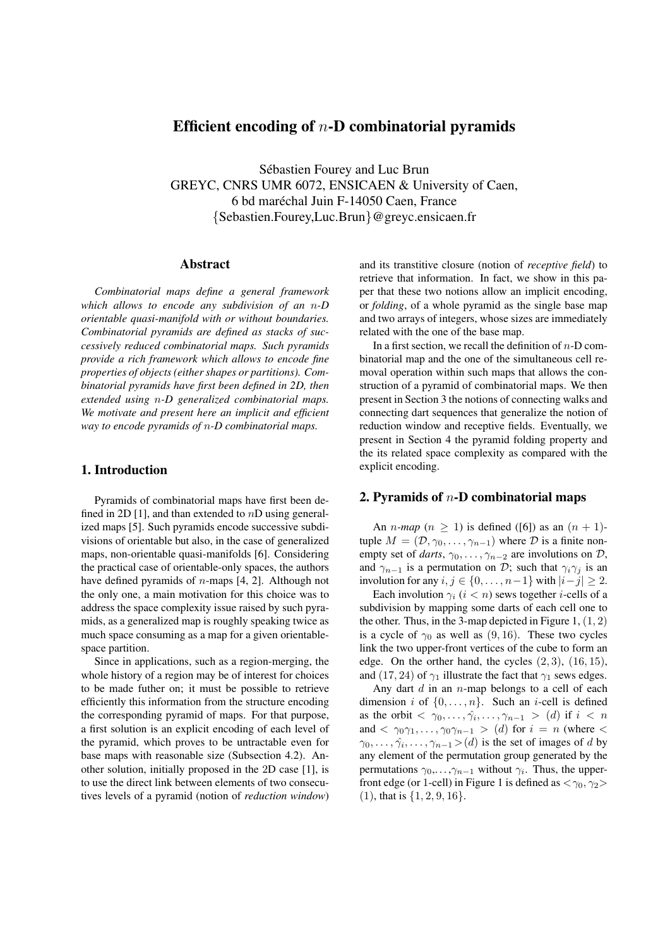# Efficient encoding of *n*-D combinatorial pyramids

Sébastien Fourey and Luc Brun GREYC, CNRS UMR 6072, ENSICAEN & University of Caen, 6 bd maréchal Juin F-14050 Caen, France *{*Sebastien.Fourey,Luc.Brun*}*@greyc.ensicaen.fr

## Abstract

*Combinatorial maps define a general framework which allows to encode any subdivision of an n-D orientable quasi-manifold with or without boundaries. Combinatorial pyramids are defined as stacks of successively reduced combinatorial maps. Such pyramids provide a rich framework which allows to encode fine properties of objects (either shapes or partitions). Combinatorial pyramids have first been defined in 2D, then extended using n-D generalized combinatorial maps. We motivate and present here an implicit and efficient way to encode pyramids of n-D combinatorial maps.*

## 1. Introduction

Pyramids of combinatorial maps have first been defined in 2D [1], and than extended to *n*D using generalized maps [5]. Such pyramids encode successive subdivisions of orientable but also, in the case of generalized maps, non-orientable quasi-manifolds [6]. Considering the practical case of orientable-only spaces, the authors have defined pyramids of *n*-maps [4, 2]. Although not the only one, a main motivation for this choice was to address the space complexity issue raised by such pyramids, as a generalized map is roughly speaking twice as much space consuming as a map for a given orientablespace partition.

Since in applications, such as a region-merging, the whole history of a region may be of interest for choices to be made futher on; it must be possible to retrieve efficiently this information from the structure encoding the corresponding pyramid of maps. For that purpose, a first solution is an explicit encoding of each level of the pyramid, which proves to be untractable even for base maps with reasonable size (Subsection 4.2). Another solution, initially proposed in the 2D case [1], is to use the direct link between elements of two consecutives levels of a pyramid (notion of *reduction window*)

and its transtitive closure (notion of *receptive field*) to retrieve that information. In fact, we show in this paper that these two notions allow an implicit encoding, or *folding*, of a whole pyramid as the single base map and two arrays of integers, whose sizes are immediately related with the one of the base map.

In a first section, we recall the definition of *n*-D combinatorial map and the one of the simultaneous cell removal operation within such maps that allows the construction of a pyramid of combinatorial maps. We then present in Section 3 the notions of connecting walks and connecting dart sequences that generalize the notion of reduction window and receptive fields. Eventually, we present in Section 4 the pyramid folding property and the its related space complexity as compared with the explicit encoding.

## 2. Pyramids of *n*-D combinatorial maps

An *n*-map  $(n > 1)$  is defined ([6]) as an  $(n + 1)$ tuple  $M = (\mathcal{D}, \gamma_0, \dots, \gamma_{n-1})$  where  $\mathcal D$  is a finite nonempty set of *darts*,  $\gamma_0, \ldots, \gamma_{n-2}$  are involutions on  $\mathcal{D}$ , and  $\gamma_{n-1}$  is a permutation on *D*; such that  $\gamma_i \gamma_j$  is an involution for any *i, j ∈ {*0*, . . . , n−*1*}* with *|i−j| ≥* 2.

Each involution  $\gamma_i$  ( $i < n$ ) sews together *i*-cells of a subdivision by mapping some darts of each cell one to the other. Thus, in the 3-map depicted in Figure 1, (1*,* 2) is a cycle of  $\gamma_0$  as well as (9, 16). These two cycles link the two upper-front vertices of the cube to form an edge. On the orther hand, the cycles (2*,* 3), (16*,* 15), and (17, 24) of  $\gamma_1$  illustrate the fact that  $\gamma_1$  sews edges.

Any dart *d* in an *n*-map belongs to a cell of each dimension *i* of  $\{0, \ldots, n\}$ . Such an *i*-cell is defined as the orbit  $\langle \gamma_0, \ldots, \hat{\gamma}_i, \ldots, \gamma_{n-1} \rangle$  (*d*) if  $i \langle n \rangle$ and *< γ*0*γ*1*, . . . , γ*0*γ<sup>n</sup>−*<sup>1</sup> *>* (*d*) for *i* = *n* (where *<*  $\gamma_0, \ldots, \hat{\gamma}_i, \ldots, \gamma_{n-1} > (d)$  is the set of images of *d* by any element of the permutation group generated by the permutations  $\gamma_0, \ldots, \gamma_{n-1}$  without  $\gamma_i$ . Thus, the upperfront edge (or 1-cell) in Figure 1 is defined as  $\langle \gamma_0, \gamma_2 \rangle$ (1), that is *{*1*,* 2*,* 9*,* 16*}*.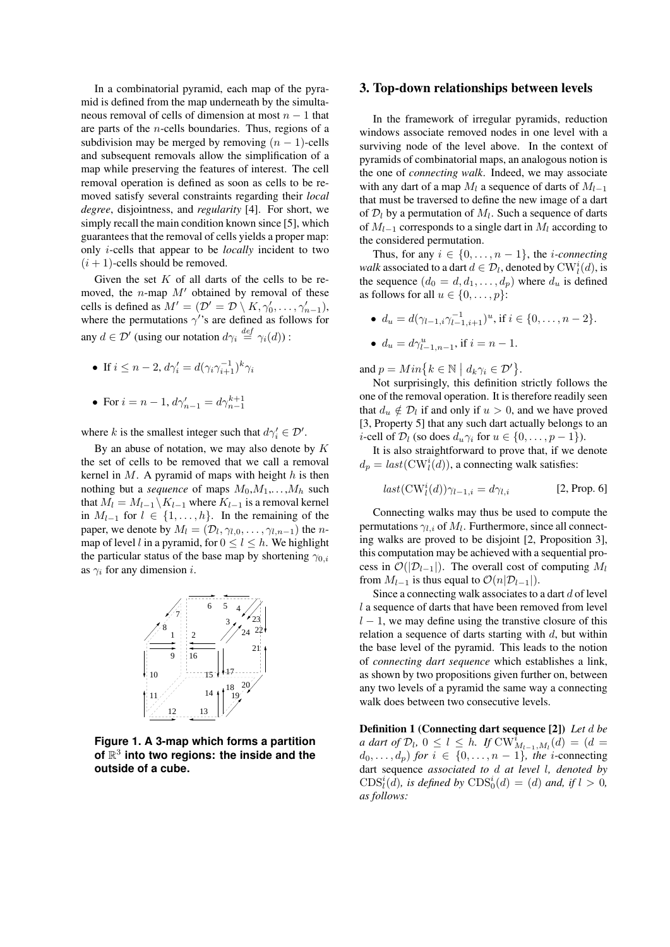In a combinatorial pyramid, each map of the pyramid is defined from the map underneath by the simultaneous removal of cells of dimension at most *n −* 1 that are parts of the *n*-cells boundaries. Thus, regions of a subdivision may be merged by removing  $(n - 1)$ -cells and subsequent removals allow the simplification of a map while preserving the features of interest. The cell removal operation is defined as soon as cells to be removed satisfy several constraints regarding their *local degree*, disjointness, and *regularity* [4]. For short, we simply recall the main condition known since [5], which guarantees that the removal of cells yields a proper map: only *i*-cells that appear to be *locally* incident to two  $(i + 1)$ -cells should be removed.

Given the set *K* of all darts of the cells to be removed, the *n*-map  $M'$  obtained by removal of these cells is defined as  $M' = (\mathcal{D}' = \mathcal{D} \setminus K, \gamma'_0, \dots, \gamma'_{n-1}),$ where the permutations  $\gamma$ 's are defined as follows for any  $d \in \mathcal{D}'$  (using our notation  $d\gamma_i \stackrel{def}{=} \gamma_i(d)$ ) :

- If  $i \leq n-2$ ,  $d\gamma'_{i} = d(\gamma_{i}\gamma_{i+1}^{-1})^{k}\gamma_{i}$
- For  $i = n 1$ ,  $d\gamma'_{n-1} = d\gamma^{k+1}_{n-1}$

where *k* is the smallest integer such that  $d\gamma_i' \in \mathcal{D}'$ .

By an abuse of notation, we may also denote by *K* the set of cells to be removed that we call a removal kernel in *M*. A pyramid of maps with height *h* is then nothing but a *sequence* of maps  $M_0, M_1, \ldots, M_h$  such that  $M_l = M_{l-1} \setminus K_{l-1}$  where  $K_{l-1}$  is a removal kernel in  $M_{l-1}$  for  $l \in \{1, \ldots, h\}$ . In the remaining of the paper, we denote by  $M_l = (\mathcal{D}_l, \gamma_{l,0}, \dots, \gamma_{l,n-1})$  the *n*map of level *l* in a pyramid, for  $0 \le l \le h$ . We highlight the particular status of the base map by shortening *γ*0*,i* as *γ<sup>i</sup>* for any dimension *i*.



**Figure 1. A 3-map which forms a partition of** R 3 **into two regions: the inside and the outside of a cube.**

### 3. Top-down relationships between levels

In the framework of irregular pyramids, reduction windows associate removed nodes in one level with a surviving node of the level above. In the context of pyramids of combinatorial maps, an analogous notion is the one of *connecting walk*. Indeed, we may associate with any dart of a map  $M_l$  a sequence of darts of  $M_{l-1}$ that must be traversed to define the new image of a dart of  $\mathcal{D}_l$  by a permutation of  $M_l$ . Such a sequence of darts of  $M_{l-1}$  corresponds to a single dart in  $M_l$  according to the considered permutation.

Thus, for any  $i \in \{0, \ldots, n-1\}$ , the *i*-connecting *walk* associated to a dart  $d \in \mathcal{D}_l$ , denoted by  $CW_l^i(d)$ , is the sequence  $(d_0 = d, d_1, \ldots, d_p)$  where  $d_u$  is defined as follows for all  $u \in \{0, \ldots, p\}$ :

 $\bullet$  *d<sub>u</sub>* = *d*( $\gamma_{l-1,i} \gamma_{l-1,i+1}^{-1}$ )<sup>*u*</sup>, if *i* ∈ {0, . . . , *n* − 2}.

• 
$$
d_u = d\gamma_{l-1,n-1}^u
$$
, if  $i = n - 1$ .

and  $p = Min\{k \in \mathbb{N} \mid d_k \gamma_i \in \mathcal{D}'\}.$ 

Not surprisingly, this definition strictly follows the one of the removal operation. It is therefore readily seen that  $d_u \notin \mathcal{D}_l$  if and only if  $u > 0$ , and we have proved [3, Property 5] that any such dart actually belongs to an *i*-cell of  $\mathcal{D}_l$  (so does  $d_u \gamma_i$  for  $u \in \{0, \ldots, p-1\}$ ).

It is also straightforward to prove that, if we denote  $d_p = last(\text{CW}_l^i(d))$ , a connecting walk satisfies:

$$
last(\text{CW}_l^i(d))\gamma_{l-1,i} = d\gamma_{l,i} \tag{2, Prop. 6}
$$

Connecting walks may thus be used to compute the permutations *γl,i* of *M<sup>l</sup>* . Furthermore, since all connecting walks are proved to be disjoint [2, Proposition 3], this computation may be achieved with a sequential process in  $\mathcal{O}(|\mathcal{D}_{l-1}|)$ . The overall cost of computing  $M_l$ from  $M_{l-1}$  is thus equal to  $\mathcal{O}(n|\mathcal{D}_{l-1}|)$ .

Since a connecting walk associates to a dart *d* of level *l* a sequence of darts that have been removed from level *l* − 1, we may define using the transtive closure of this relation a sequence of darts starting with *d*, but within the base level of the pyramid. This leads to the notion of *connecting dart sequence* which establishes a link, as shown by two propositions given further on, between any two levels of a pyramid the same way a connecting walk does between two consecutive levels.

Definition 1 (Connecting dart sequence [2]) *Let d be a dart of*  $\mathcal{D}_l$ ,  $0 \le l \le h$ *. If*  $CW^i_{M_{l-1},M_l}(d) = (d - 1)$  $d_0, \ldots, d_p$  *for*  $i \in \{0, \ldots, n-1\}$ *, the i*-connecting dart sequence *associated to d at level l, denoted by*  $\text{CDS}_l^i(d)$ *, is defined by*  $\text{CDS}_0^i(d) = (d)$  *and, if*  $l > 0$ *, as follows:*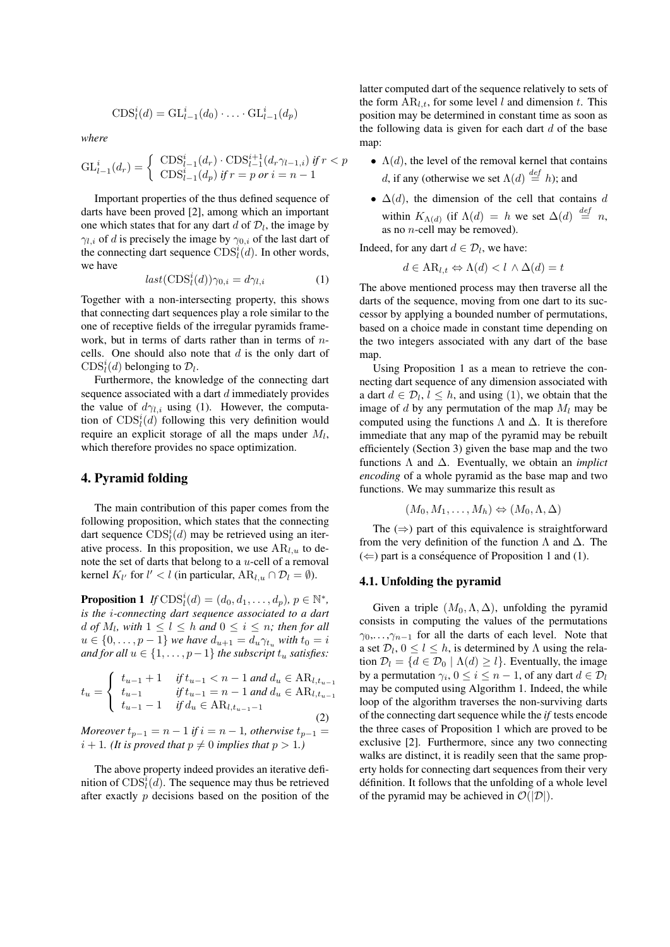$$
CDSli(d) = GLl-1i(d0) \cdot \ldots \cdot GLl-1i(dp)
$$

*where*

$$
GL_{l-1}^{i}(d_r) = \begin{cases} \text{CDS}_{l-1}^{i}(d_r) \cdot \text{CDS}_{l-1}^{i+1}(d_r \gamma_{l-1,i}) & \text{if } r < p \\ \text{CDS}_{l-1}^{i}(d_p) & \text{if } r = p \text{ or } i = n-1 \end{cases}
$$

Important properties of the thus defined sequence of darts have been proved [2], among which an important one which states that for any dart  $d$  of  $\mathcal{D}_l$ , the image by *γ*<sub>*l,i*</sub> of *d* is precisely the image by  $\gamma_{0,i}$  of the last dart of the connecting dart sequence  $CDS<sub>i</sub><sup>i</sup>(d)$ . In other words, we have

$$
last(\text{CDS}_l^i(d))\gamma_{0,i} = d\gamma_{l,i} \tag{1}
$$

Together with a non-intersecting property, this shows that connecting dart sequences play a role similar to the one of receptive fields of the irregular pyramids framework, but in terms of darts rather than in terms of *n*cells. One should also note that *d* is the only dart of CDS<sup>*i*</sup><sub>*l*</sub><sup> $(d)$ </sup> belonging to  $\mathcal{D}_l$ .

Furthermore, the knowledge of the connecting dart sequence associated with a dart *d* immediately provides the value of  $d\gamma_{l,i}$  using (1). However, the computation of  $CDS<sub>l</sub><sup>i</sup>(d)$  following this very definition would require an explicit storage of all the maps under *M<sup>l</sup>* , which therefore provides no space optimization.

## 4. Pyramid folding

The main contribution of this paper comes from the following proposition, which states that the connecting dart sequence  $CDS<sub>l</sub><sup>i</sup>(d)$  may be retrieved using an iterative process. In this proposition, we use  $AR_{l,u}$  to denote the set of darts that belong to a *u*-cell of a removal kernel  $K_{l'}$  for  $l' < l$  (in particular,  $AR_{l,u} \cap \mathcal{D}_l = \emptyset$ ).

**Proposition 1** *If*  $CDS_i^i(d) = (d_0, d_1, \ldots, d_p), p \in \mathbb{N}^*$ , *is the i-connecting dart sequence associated to a dart*  $d$  *of*  $M_l$ , with  $1 \leq l \leq h$  *and*  $0 \leq i \leq n$ *; then for all*  $u \in \{0, \ldots, p-1\}$  *we have*  $d_{u+1} = d_u \gamma_{t_u}$  *with*  $t_0 = i$ *and for all*  $u \in \{1, \ldots, p-1\}$  *the subscript*  $t_u$  *satisfies:* 

$$
t_u = \begin{cases} t_{u-1} + 1 & \text{if } t_{u-1} < n-1 \text{ and } d_u \in \text{AR}_{l,t_{u-1}} \\ t_{u-1} & \text{if } t_{u-1} = n-1 \text{ and } d_u \in \text{AR}_{l,t_{u-1}} \\ t_{u-1} - 1 & \text{if } d_u \in \text{AR}_{l,t_{u-1}-1} \end{cases}
$$
(2)

*Moreover*  $t_{p-1} = n - 1$  *if*  $i = n - 1$ *, otherwise*  $t_{p-1} =$  $i + 1$ *. (It is proved that*  $p \neq 0$  *implies that*  $p > 1$ *.)* 

The above property indeed provides an iterative definition of  $CDS<sub>i</sub><sup>i</sup>(d)$ . The sequence may thus be retrieved after exactly *p* decisions based on the position of the latter computed dart of the sequence relatively to sets of the form  $AR_{l,t}$ , for some level *l* and dimension *t*. This position may be determined in constant time as soon as the following data is given for each dart *d* of the base map:

- $\Lambda(d)$ , the level of the removal kernel that contains *d*, if any (otherwise we set  $\Lambda(d) \stackrel{def}{=} h$ ); and
- *•* ∆(*d*), the dimension of the cell that contains *d* within  $K_{\Lambda(d)}$  (if  $\Lambda(d) = h$  we set  $\Delta(d) \stackrel{def}{=} n$ , as no *n*-cell may be removed).

Indeed, for any dart  $d \in \mathcal{D}_l$ , we have:

$$
d \in \mathcal{AR}_{l,t} \Leftrightarrow \Lambda(d) < l \wedge \Delta(d) = t
$$

The above mentioned process may then traverse all the darts of the sequence, moving from one dart to its successor by applying a bounded number of permutations, based on a choice made in constant time depending on the two integers associated with any dart of the base map.

Using Proposition 1 as a mean to retrieve the connecting dart sequence of any dimension associated with a dart  $d \in \mathcal{D}_l$ ,  $l \leq h$ , and using (1), we obtain that the image of *d* by any permutation of the map *M<sup>l</sup>* may be computed using the functions  $\Lambda$  and  $\Delta$ . It is therefore immediate that any map of the pyramid may be rebuilt efficientely (Section 3) given the base map and the two functions Λ and ∆. Eventually, we obtain an *implict encoding* of a whole pyramid as the base map and two functions. We may summarize this result as

$$
(M_0, M_1, \ldots, M_h) \Leftrightarrow (M_0, \Lambda, \Delta)
$$

The  $(\Rightarrow)$  part of this equivalence is straightforward from the very definition of the function  $\Lambda$  and  $\Delta$ . The  $(\Leftarrow)$  part is a conséquence of Proposition 1 and (1).

#### 4.1. Unfolding the pyramid

Given a triple  $(M_0, \Lambda, \Delta)$ , unfolding the pyramid consists in computing the values of the permutations  $\gamma_0, \ldots, \gamma_{n-1}$  for all the darts of each level. Note that a set  $\mathcal{D}_l$ ,  $0 \le l \le h$ , is determined by  $\Lambda$  using the relation  $\mathcal{D}_l = \{d \in \mathcal{D}_0 \mid \Lambda(d) \geq l\}$ . Eventually, the image by a permutation  $\gamma_i$ ,  $0 \le i \le n-1$ , of any dart  $d \in \mathcal{D}_l$ may be computed using Algorithm 1. Indeed, the while loop of the algorithm traverses the non-surviving darts of the connecting dart sequence while the *if* tests encode the three cases of Proposition 1 which are proved to be exclusive [2]. Furthermore, since any two connecting walks are distinct, it is readily seen that the same property holds for connecting dart sequences from their very definition. It follows that the unfolding of a whole level ´ of the pyramid may be achieved in  $\mathcal{O}(|\mathcal{D}|)$ .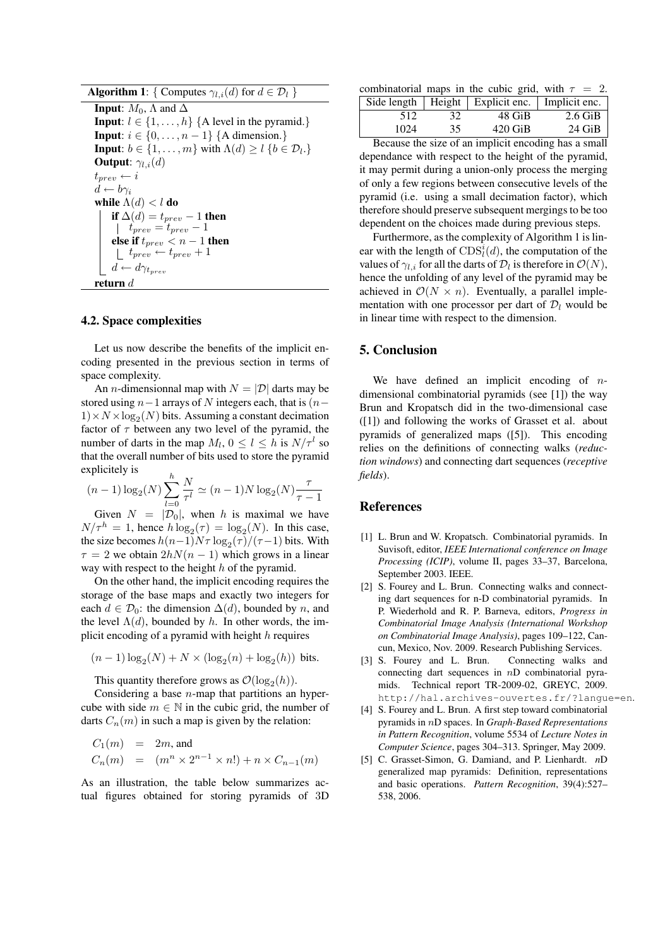| <b>Algorithm 1:</b> { Computes $\gamma_{l,i}(d)$ for $d \in \mathcal{D}_l$ }     |  |  |  |
|----------------------------------------------------------------------------------|--|--|--|
| <b>Input:</b> $M_0$ , $\Lambda$ and $\Delta$                                     |  |  |  |
| <b>Input:</b> $l \in \{1, , h\}$ {A level in the pyramid.}                       |  |  |  |
| <b>Input:</b> $i \in \{0, \ldots, n-1\}$ {A dimension.}                          |  |  |  |
| <b>Input:</b> $b \in \{1, , m\}$ with $\Lambda(d) \ge l \{b \in \mathcal{D}_l\}$ |  |  |  |
| <b>Output:</b> $\gamma_{l,i}(d)$                                                 |  |  |  |
| $t_{prev} \leftarrow i$                                                          |  |  |  |
| $d \leftarrow b\gamma_i$                                                         |  |  |  |
| while $\Lambda(d) < l$ do                                                        |  |  |  |
| if $\Delta(d) = t_{prev} - 1$ then                                               |  |  |  |
| $t_{prev} = t_{prev} - 1$                                                        |  |  |  |
| else if $t_{prev} < n - 1$ then                                                  |  |  |  |
| $t_{prev} \leftarrow t_{prev} + 1$                                               |  |  |  |
| $d \leftarrow d\gamma_{t_{prev}}$                                                |  |  |  |
| return $d$                                                                       |  |  |  |

#### 4.2. Space complexities

Let us now describe the benefits of the implicit encoding presented in the previous section in terms of space complexity.

An *n*-dimensionnal map with  $N = |\mathcal{D}|$  darts may be stored using *n−*1 arrays of *N* integers each, that is (*n−*  $1) \times N \times log_2(N)$  bits. Assuming a constant decimation factor of  $\tau$  between any two level of the pyramid, the number of darts in the map  $M_l$ ,  $0 \le l \le h$  is  $N/\tau^l$  so that the overall number of bits used to store the pyramid explicitely is

$$
(n-1)\log_2(N)\sum_{l=0}^h \frac{N}{\tau^l} \simeq (n-1)N\log_2(N)\frac{\tau}{\tau-1}
$$

Given  $N = |\mathcal{D}_0|$ , when *h* is maximal we have  $N/\tau^h = 1$ , hence  $h \log_2(\tau) = \log_2(N)$ . In this case, the size becomes  $h(n-1)N\tau \log_2(\tau)/(\tau-1)$  bits. With  $\tau = 2$  we obtain  $2hN(n-1)$  which grows in a linear way with respect to the height *h* of the pyramid.

On the other hand, the implicit encoding requires the storage of the base maps and exactly two integers for each  $d \in \mathcal{D}_0$ : the dimension  $\Delta(d)$ , bounded by *n*, and the level  $\Lambda(d)$ , bounded by *h*. In other words, the implicit encoding of a pyramid with height *h* requires

$$
(n-1)\log_2(N) + N \times (\log_2(n) + \log_2(h))
$$
 bits.

This quantity therefore grows as  $\mathcal{O}(\log_2(h))$ .

Considering a base *n*-map that partitions an hypercube with side  $m \in \mathbb{N}$  in the cubic grid, the number of darts  $C_n(m)$  in such a map is given by the relation:

$$
C_1(m) = 2m
$$
, and  
\n $C_n(m) = (m^n \times 2^{n-1} \times n!) + n \times C_{n-1}(m)$ 

As an illustration, the table below summarizes actual figures obtained for storing pyramids of 3D

combinatorial maps in the cubic grid, with  $\tau = 2$ .

|      |    | Side length   Height   Explicit enc.   Implicit enc. |           |
|------|----|------------------------------------------------------|-----------|
| 512  | 32 | 48 GiB                                               | $2.6$ GiB |
| 1024 | 35 | $420$ GiB                                            | $24$ GiB  |

Because the size of an implicit encoding has a small dependance with respect to the height of the pyramid, it may permit during a union-only process the merging of only a few regions between consecutive levels of the pyramid (i.e. using a small decimation factor), which therefore should preserve subsequent mergings to be too dependent on the choices made during previous steps.

Furthermore, as the complexity of Algorithm 1 is linear with the length of  $CDS<sub>i</sub><sup>i</sup>(d)$ , the computation of the values of  $\gamma_{l,i}$  for all the darts of  $\mathcal{D}_l$  is therefore in  $\mathcal{O}(N)$ , hence the unfolding of any level of the pyramid may be achieved in  $\mathcal{O}(N \times n)$ . Eventually, a parallel implementation with one processor per dart of  $\mathcal{D}_l$  would be in linear time with respect to the dimension.

## 5. Conclusion

We have defined an implicit encoding of *n*dimensional combinatorial pyramids (see [1]) the way Brun and Kropatsch did in the two-dimensional case ([1]) and following the works of Grasset et al. about pyramids of generalized maps ([5]). This encoding relies on the definitions of connecting walks (*reduction windows*) and connecting dart sequences (*receptive fields*).

### References

- [1] L. Brun and W. Kropatsch. Combinatorial pyramids. In Suvisoft, editor, *IEEE International conference on Image Processing (ICIP)*, volume II, pages 33–37, Barcelona, September 2003. IEEE.
- [2] S. Fourey and L. Brun. Connecting walks and connecting dart sequences for n-D combinatorial pyramids. In P. Wiederhold and R. P. Barneva, editors, *Progress in Combinatorial Image Analysis (International Workshop on Combinatorial Image Analysis)*, pages 109–122, Cancun, Mexico, Nov. 2009. Research Publishing Services.
- [3] S. Fourey and L. Brun. Connecting walks and connecting dart sequences in *n*D combinatorial pyramids. Technical report TR-2009-02, GREYC, 2009. http://hal.archives-ouvertes.fr/?langue=en.
- [4] S. Fourey and L. Brun. A first step toward combinatorial pyramids in *n*D spaces. In *Graph-Based Representations in Pattern Recognition*, volume 5534 of *Lecture Notes in Computer Science*, pages 304–313. Springer, May 2009.
- [5] C. Grasset-Simon, G. Damiand, and P. Lienhardt. *n*D generalized map pyramids: Definition, representations and basic operations. *Pattern Recognition*, 39(4):527– 538, 2006.